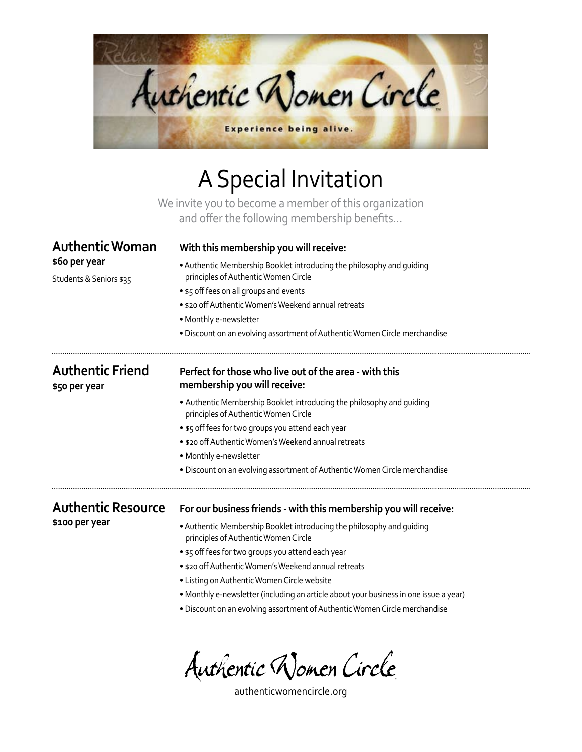

## A Special Invitation

We invite you to become a member of this organization and offer the following membership benefits...

| <b>Authentic Woman</b>                   | With this membership you will receive:<br>. Authentic Membership Booklet introducing the philosophy and quiding<br>principles of Authentic Women Circle |  |
|------------------------------------------|---------------------------------------------------------------------------------------------------------------------------------------------------------|--|
| \$60 per year<br>Students & Seniors \$35 |                                                                                                                                                         |  |
|                                          | • \$5 off fees on all groups and events                                                                                                                 |  |
|                                          | • \$20 off Authentic Women's Weekend annual retreats                                                                                                    |  |
|                                          | • Monthly e-newsletter                                                                                                                                  |  |
|                                          | · Discount on an evolving assortment of Authentic Women Circle merchandise                                                                              |  |
| <b>Authentic Friend</b><br>\$50 per year | Perfect for those who live out of the area - with this<br>membership you will receive:                                                                  |  |
|                                          | • Authentic Membership Booklet introducing the philosophy and quiding<br>principles of Authentic Women Circle                                           |  |
|                                          | • \$5 off fees for two groups you attend each year                                                                                                      |  |
|                                          | • \$20 off Authentic Women's Weekend annual retreats                                                                                                    |  |
|                                          | • Monthly e-newsletter                                                                                                                                  |  |
|                                          | . Discount on an evolving assortment of Authentic Women Circle merchandise                                                                              |  |
| <b>Authentic Resource</b>                | For our business friends - with this membership you will receive:                                                                                       |  |
| \$100 per year                           | • Authentic Membership Booklet introducing the philosophy and quiding<br>principles of Authentic Women Circle                                           |  |
|                                          | • \$5 off fees for two groups you attend each year                                                                                                      |  |
|                                          | . \$20 off Authentic Women's Weekend annual retreats                                                                                                    |  |
|                                          | • Listing on Authentic Women Circle website                                                                                                             |  |
|                                          | . Monthly e-newsletter (including an article about your business in one issue a year)                                                                   |  |
|                                          | · Discount on an evolving assortment of Authentic Women Circle merchandise                                                                              |  |
|                                          |                                                                                                                                                         |  |

Authentic Women Circle

authenticwomencircle.org